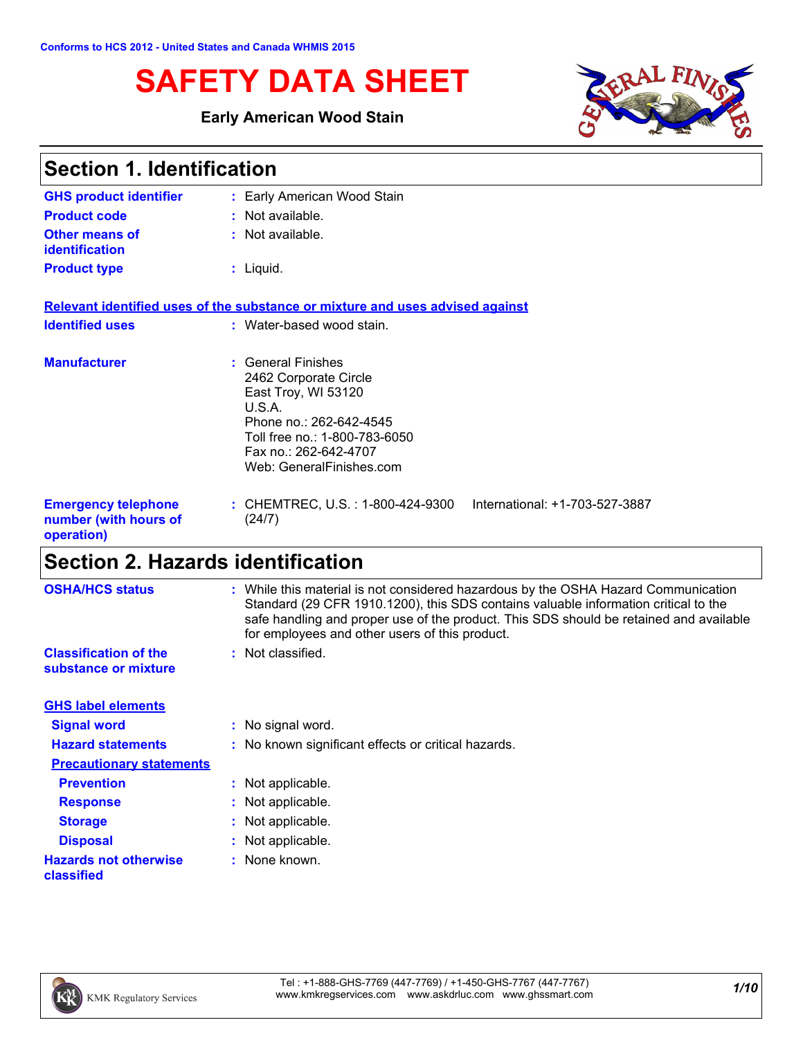# **SAFETY DATA SHEET**

### **Early American Wood Stain**



| <b>Section 1. Identification</b>                                  |                                                                                                                                                                                               |  |
|-------------------------------------------------------------------|-----------------------------------------------------------------------------------------------------------------------------------------------------------------------------------------------|--|
| <b>GHS product identifier</b>                                     | : Early American Wood Stain                                                                                                                                                                   |  |
| <b>Product code</b>                                               | : Not available.                                                                                                                                                                              |  |
| <b>Other means of</b><br><i>identification</i>                    | : Not available.                                                                                                                                                                              |  |
| <b>Product type</b>                                               | $:$ Liquid.                                                                                                                                                                                   |  |
|                                                                   | Relevant identified uses of the substance or mixture and uses advised against                                                                                                                 |  |
| <b>Identified uses</b>                                            | : Water-based wood stain.                                                                                                                                                                     |  |
| <b>Manufacturer</b>                                               | : General Finishes<br>2462 Corporate Circle<br>East Troy, WI 53120<br>U.S.A.<br>Phone no.: 262-642-4545<br>Toll free no.: 1-800-783-6050<br>Fax no.: 262-642-4707<br>Web: GeneralFinishes.com |  |
| <b>Emergency telephone</b><br>number (with hours of<br>operation) | : CHEMTREC, U.S. : 1-800-424-9300<br>International: +1-703-527-3887<br>(24/7)                                                                                                                 |  |

# **Section 2. Hazards identification**

| <b>OSHA/HCS status</b>                               | : While this material is not considered hazardous by the OSHA Hazard Communication<br>Standard (29 CFR 1910.1200), this SDS contains valuable information critical to the<br>safe handling and proper use of the product. This SDS should be retained and available<br>for employees and other users of this product. |
|------------------------------------------------------|-----------------------------------------------------------------------------------------------------------------------------------------------------------------------------------------------------------------------------------------------------------------------------------------------------------------------|
| <b>Classification of the</b><br>substance or mixture | : Not classified.                                                                                                                                                                                                                                                                                                     |
| <b>GHS label elements</b>                            |                                                                                                                                                                                                                                                                                                                       |
| <b>Signal word</b>                                   | : No signal word.                                                                                                                                                                                                                                                                                                     |
| <b>Hazard statements</b>                             | : No known significant effects or critical hazards.                                                                                                                                                                                                                                                                   |
| <b>Precautionary statements</b>                      |                                                                                                                                                                                                                                                                                                                       |
| <b>Prevention</b>                                    | : Not applicable.                                                                                                                                                                                                                                                                                                     |
| <b>Response</b>                                      | : Not applicable.                                                                                                                                                                                                                                                                                                     |
| <b>Storage</b>                                       | : Not applicable.                                                                                                                                                                                                                                                                                                     |
| <b>Disposal</b>                                      | : Not applicable.                                                                                                                                                                                                                                                                                                     |
| <b>Hazards not otherwise</b><br>classified           | : None known.                                                                                                                                                                                                                                                                                                         |
|                                                      |                                                                                                                                                                                                                                                                                                                       |

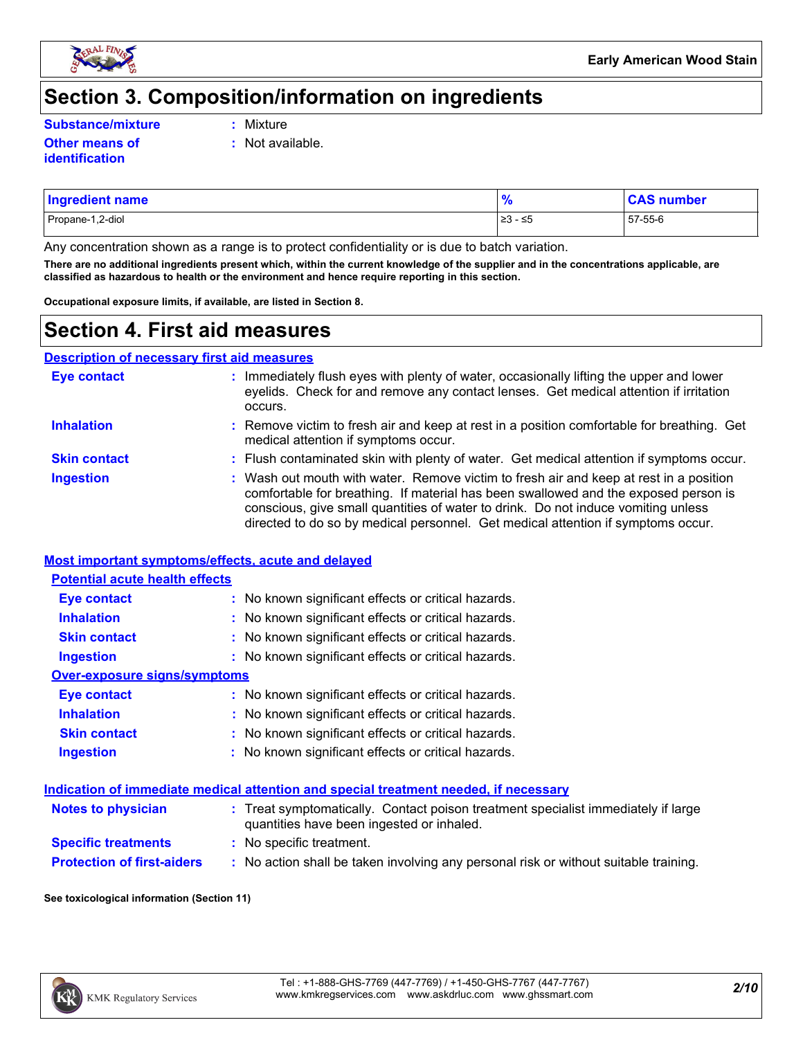

# **Section 3. Composition/information on ingredients**

**Substance/mixture :**

Mixture

**:** Not available.

**Other means of identification**

| <b>Ingredient name</b> |               | ⊧number |
|------------------------|---------------|---------|
| Propane-1,2-diol       | 1>3<br>≀ - ≤5 | 57-55-6 |

Any concentration shown as a range is to protect confidentiality or is due to batch variation.

**There are no additional ingredients present which, within the current knowledge of the supplier and in the concentrations applicable, are classified as hazardous to health or the environment and hence require reporting in this section.**

**Occupational exposure limits, if available, are listed in Section 8.**

## **Section 4. First aid measures**

**Description of necessary first aid measures**

| <b>Eye contact</b>  | : Immediately flush eyes with plenty of water, occasionally lifting the upper and lower<br>eyelids. Check for and remove any contact lenses. Get medical attention if irritation<br>occurs.                                                                                                                                                            |
|---------------------|--------------------------------------------------------------------------------------------------------------------------------------------------------------------------------------------------------------------------------------------------------------------------------------------------------------------------------------------------------|
| <b>Inhalation</b>   | : Remove victim to fresh air and keep at rest in a position comfortable for breathing. Get<br>medical attention if symptoms occur.                                                                                                                                                                                                                     |
| <b>Skin contact</b> | : Flush contaminated skin with plenty of water. Get medical attention if symptoms occur.                                                                                                                                                                                                                                                               |
| <b>Ingestion</b>    | : Wash out mouth with water. Remove victim to fresh air and keep at rest in a position<br>comfortable for breathing. If material has been swallowed and the exposed person is<br>conscious, give small quantities of water to drink. Do not induce vomiting unless<br>directed to do so by medical personnel. Get medical attention if symptoms occur. |

#### **Most important symptoms/effects, acute and delayed**

| <b>Potential acute health effects</b> |                                                     |
|---------------------------------------|-----------------------------------------------------|
| Eye contact                           | : No known significant effects or critical hazards. |
| <b>Inhalation</b>                     | : No known significant effects or critical hazards. |
| <b>Skin contact</b>                   | : No known significant effects or critical hazards. |
| <b>Ingestion</b>                      | : No known significant effects or critical hazards. |
| Over-exposure signs/symptoms          |                                                     |
| Eye contact                           | : No known significant effects or critical hazards. |
| <b>Inhalation</b>                     | : No known significant effects or critical hazards. |
| <b>Skin contact</b>                   | : No known significant effects or critical hazards. |
| <b>Ingestion</b>                      | : No known significant effects or critical hazards. |

#### **Indication of immediate medical attention and special treatment needed, if necessary**

| <b>Notes to physician</b>         | : Treat symptomatically. Contact poison treatment specialist immediately if large<br>quantities have been ingested or inhaled. |
|-----------------------------------|--------------------------------------------------------------------------------------------------------------------------------|
| <b>Specific treatments</b>        | : No specific treatment.                                                                                                       |
| <b>Protection of first-aiders</b> | No action shall be taken involving any personal risk or without suitable training.                                             |

#### **See toxicological information (Section 11)**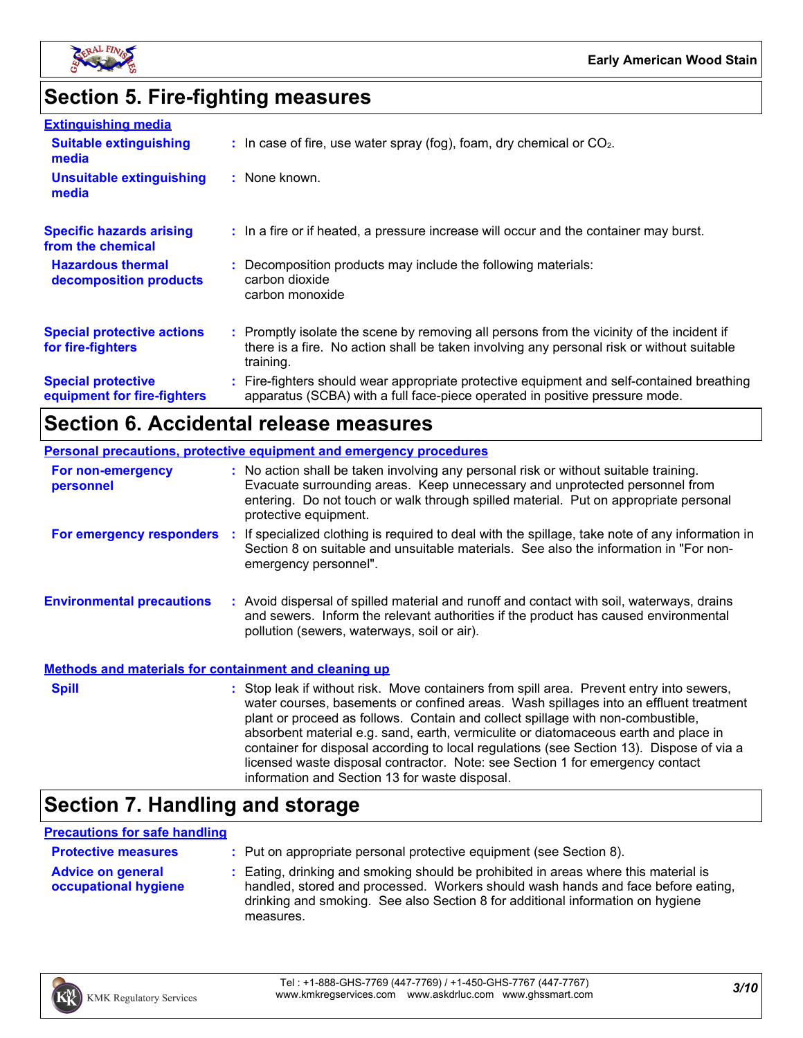

# **Section 5. Fire-fighting measures**

| <b>Extinguishing media</b>                               |                                                                                                                                                                                                     |
|----------------------------------------------------------|-----------------------------------------------------------------------------------------------------------------------------------------------------------------------------------------------------|
| <b>Suitable extinguishing</b><br>media                   | $\therefore$ In case of fire, use water spray (fog), foam, dry chemical or CO <sub>2</sub> .                                                                                                        |
| <b>Unsuitable extinguishing</b><br>media                 | : None known.                                                                                                                                                                                       |
| <b>Specific hazards arising</b><br>from the chemical     | : In a fire or if heated, a pressure increase will occur and the container may burst.                                                                                                               |
| <b>Hazardous thermal</b><br>decomposition products       | : Decomposition products may include the following materials:<br>carbon dioxide<br>carbon monoxide                                                                                                  |
| <b>Special protective actions</b><br>for fire-fighters   | : Promptly isolate the scene by removing all persons from the vicinity of the incident if<br>there is a fire. No action shall be taken involving any personal risk or without suitable<br>training. |
| <b>Special protective</b><br>equipment for fire-fighters | : Fire-fighters should wear appropriate protective equipment and self-contained breathing<br>apparatus (SCBA) with a full face-piece operated in positive pressure mode.                            |

# **Section 6. Accidental release measures**

| <b>Personal precautions, protective equipment and emergency procedures</b> |  |                                                                                                                                                                                                                                                                                                                                                                                                                                                                                                                                                                                            |  |
|----------------------------------------------------------------------------|--|--------------------------------------------------------------------------------------------------------------------------------------------------------------------------------------------------------------------------------------------------------------------------------------------------------------------------------------------------------------------------------------------------------------------------------------------------------------------------------------------------------------------------------------------------------------------------------------------|--|
| For non-emergency<br>personnel                                             |  | : No action shall be taken involving any personal risk or without suitable training.<br>Evacuate surrounding areas. Keep unnecessary and unprotected personnel from<br>entering. Do not touch or walk through spilled material. Put on appropriate personal<br>protective equipment.                                                                                                                                                                                                                                                                                                       |  |
| For emergency responders :                                                 |  | If specialized clothing is required to deal with the spillage, take note of any information in<br>Section 8 on suitable and unsuitable materials. See also the information in "For non-<br>emergency personnel".                                                                                                                                                                                                                                                                                                                                                                           |  |
| <b>Environmental precautions</b>                                           |  | : Avoid dispersal of spilled material and runoff and contact with soil, waterways, drains<br>and sewers. Inform the relevant authorities if the product has caused environmental<br>pollution (sewers, waterways, soil or air).                                                                                                                                                                                                                                                                                                                                                            |  |
| <b>Methods and materials for containment and cleaning up</b>               |  |                                                                                                                                                                                                                                                                                                                                                                                                                                                                                                                                                                                            |  |
| <b>Spill</b>                                                               |  | : Stop leak if without risk. Move containers from spill area. Prevent entry into sewers,<br>water courses, basements or confined areas. Wash spillages into an effluent treatment<br>plant or proceed as follows. Contain and collect spillage with non-combustible,<br>absorbent material e.g. sand, earth, vermiculite or diatomaceous earth and place in<br>container for disposal according to local regulations (see Section 13). Dispose of via a<br>licensed waste disposal contractor. Note: see Section 1 for emergency contact<br>information and Section 13 for waste disposal. |  |

# **Section 7. Handling and storage**

#### **Precautions for safe handling**

| <b>Protective measures</b>                       | : Put on appropriate personal protective equipment (see Section 8).                                                                                                                                                                                                    |
|--------------------------------------------------|------------------------------------------------------------------------------------------------------------------------------------------------------------------------------------------------------------------------------------------------------------------------|
| <b>Advice on general</b><br>occupational hygiene | : Eating, drinking and smoking should be prohibited in areas where this material is<br>handled, stored and processed. Workers should wash hands and face before eating,<br>drinking and smoking. See also Section 8 for additional information on hygiene<br>measures. |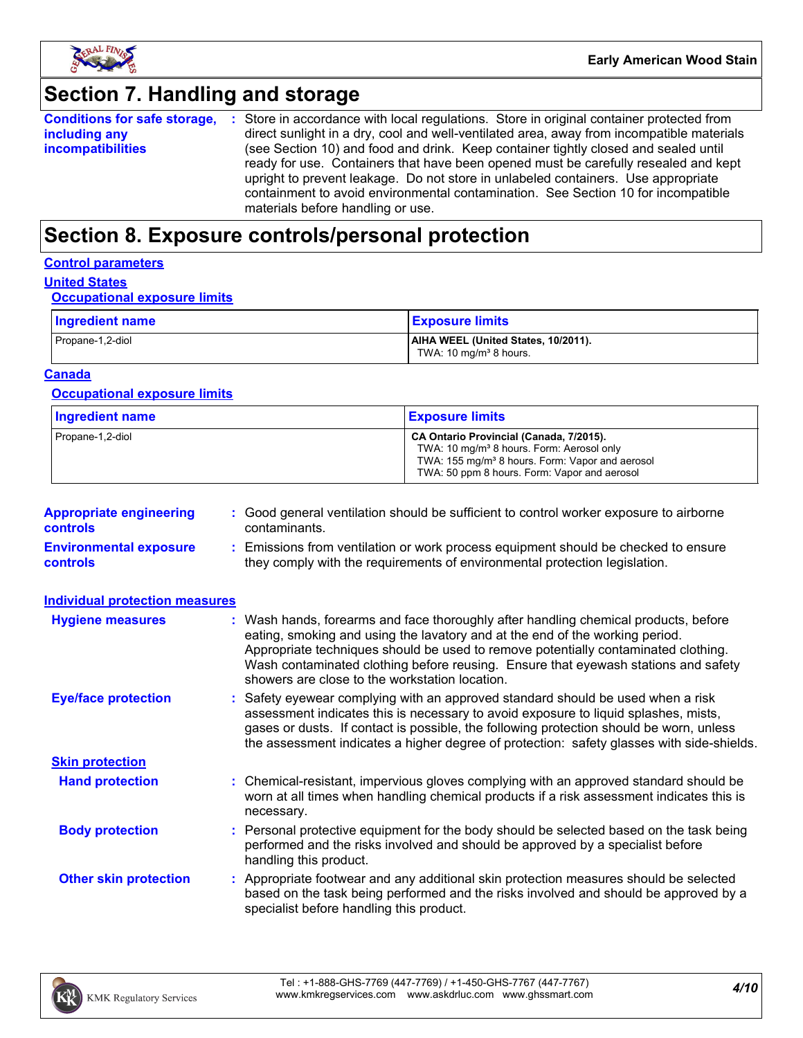

# **Section 7. Handling and storage**

|                          | <b>Conditions for safe storage, :</b> Store in accordance with local regulations. Store in original container protected from |
|--------------------------|------------------------------------------------------------------------------------------------------------------------------|
| including any            | direct sunlight in a dry, cool and well-ventilated area, away from incompatible materials                                    |
| <i>incompatibilities</i> | (see Section 10) and food and drink. Keep container tightly closed and sealed until                                          |
|                          | ready for use. Containers that have been opened must be carefully resealed and kept                                          |
|                          | upright to prevent leakage. Do not store in unlabeled containers. Use appropriate                                            |
|                          | containment to avoid environmental contamination. See Section 10 for incompatible                                            |
|                          | materials before handling or use.                                                                                            |

# **Section 8. Exposure controls/personal protection**

#### **Control parameters**

#### **United States**

#### **Occupational exposure limits**

| Ingredient name  | <b>Exposure limits</b>                                                    |
|------------------|---------------------------------------------------------------------------|
| Propane-1,2-diol | AIHA WEEL (United States, 10/2011).<br>TWA: 10 mg/m <sup>3</sup> 8 hours. |

#### **Canada**

#### **Occupational exposure limits**

| <b>Ingredient name</b> | <b>Exposure limits</b>                                                                                                                                                                                          |
|------------------------|-----------------------------------------------------------------------------------------------------------------------------------------------------------------------------------------------------------------|
| Propane-1,2-diol       | CA Ontario Provincial (Canada, 7/2015).<br>TWA: 10 mg/m <sup>3</sup> 8 hours. Form: Aerosol only<br>TWA: 155 mg/m <sup>3</sup> 8 hours. Form: Vapor and aerosol<br>TWA: 50 ppm 8 hours. Form: Vapor and aerosol |

| <b>Appropriate engineering</b><br><b>controls</b> | : Good general ventilation should be sufficient to control worker exposure to airborne<br>contaminants.                                                          |
|---------------------------------------------------|------------------------------------------------------------------------------------------------------------------------------------------------------------------|
| <b>Environmental exposure</b><br><b>controls</b>  | : Emissions from ventilation or work process equipment should be checked to ensure<br>they comply with the requirements of environmental protection legislation. |

| <b>Individual protection measures</b> |                                                                                                                                                                                                                                                                                                                                                                                                   |
|---------------------------------------|---------------------------------------------------------------------------------------------------------------------------------------------------------------------------------------------------------------------------------------------------------------------------------------------------------------------------------------------------------------------------------------------------|
| <b>Hygiene measures</b>               | : Wash hands, forearms and face thoroughly after handling chemical products, before<br>eating, smoking and using the lavatory and at the end of the working period.<br>Appropriate techniques should be used to remove potentially contaminated clothing.<br>Wash contaminated clothing before reusing. Ensure that eyewash stations and safety<br>showers are close to the workstation location. |
| <b>Eye/face protection</b>            | : Safety eyewear complying with an approved standard should be used when a risk<br>assessment indicates this is necessary to avoid exposure to liquid splashes, mists,<br>gases or dusts. If contact is possible, the following protection should be worn, unless<br>the assessment indicates a higher degree of protection: safety glasses with side-shields.                                    |
| <b>Skin protection</b>                |                                                                                                                                                                                                                                                                                                                                                                                                   |
| <b>Hand protection</b>                | : Chemical-resistant, impervious gloves complying with an approved standard should be<br>worn at all times when handling chemical products if a risk assessment indicates this is<br>necessary.                                                                                                                                                                                                   |
| <b>Body protection</b>                | : Personal protective equipment for the body should be selected based on the task being<br>performed and the risks involved and should be approved by a specialist before<br>handling this product.                                                                                                                                                                                               |
| <b>Other skin protection</b>          | : Appropriate footwear and any additional skin protection measures should be selected<br>based on the task being performed and the risks involved and should be approved by a<br>specialist before handling this product.                                                                                                                                                                         |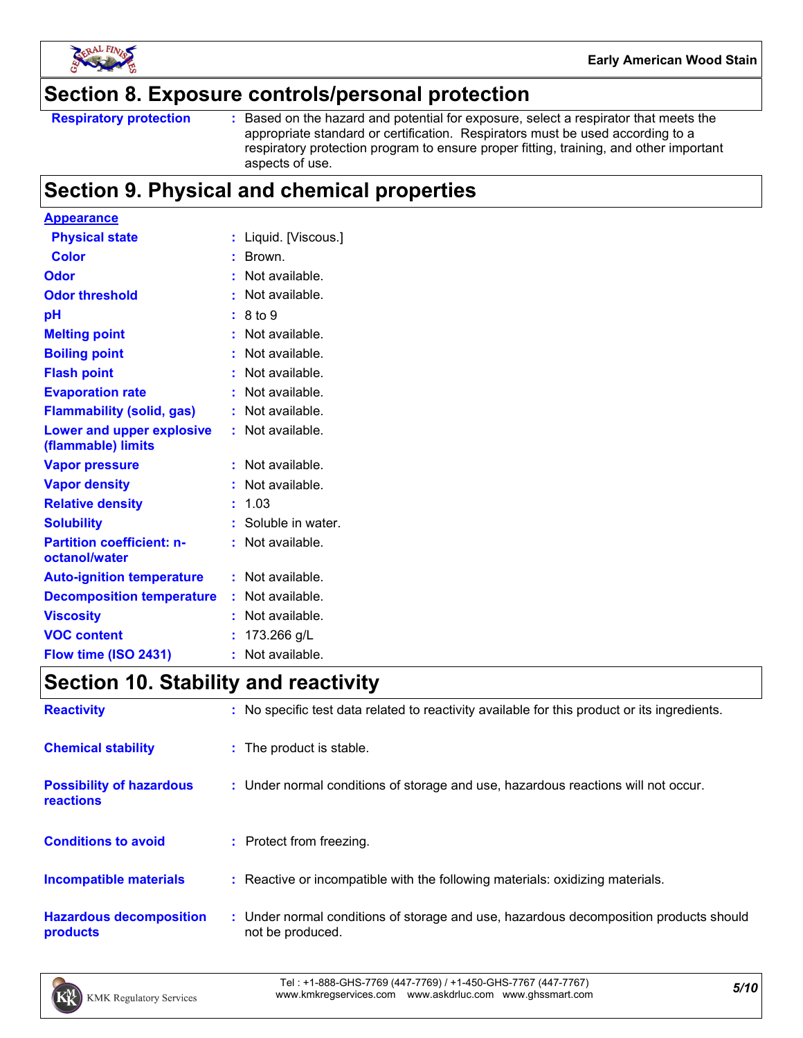

### **Section 8. Exposure controls/personal protection**

Based on the hazard and potential for exposure, select a respirator that meets the appropriate standard or certification. Respirators must be used according to a respiratory protection program to ensure proper fitting, training, and other important aspects of use.

# **Section 9. Physical and chemical properties**

| <b>Appearance</b>                                 |    |                     |
|---------------------------------------------------|----|---------------------|
| <b>Physical state</b>                             |    | Liquid. [Viscous.]  |
| <b>Color</b>                                      |    | Brown.              |
| Odor                                              |    | Not available.      |
| <b>Odor threshold</b>                             |    | Not available.      |
| рH                                                |    | 8 to 9              |
| <b>Melting point</b>                              |    | Not available.      |
| <b>Boiling point</b>                              |    | Not available.      |
| <b>Flash point</b>                                |    | Not available.      |
| <b>Evaporation rate</b>                           |    | Not available.      |
| <b>Flammability (solid, gas)</b>                  |    | Not available.      |
| Lower and upper explosive<br>(flammable) limits   |    | Not available.      |
| <b>Vapor pressure</b>                             |    | Not available.      |
| <b>Vapor density</b>                              |    | Not available.      |
| <b>Relative density</b>                           |    | 1.03                |
| <b>Solubility</b>                                 |    | : Soluble in water. |
| <b>Partition coefficient: n-</b><br>octanol/water |    | Not available.      |
| <b>Auto-ignition temperature</b>                  |    | Not available.      |
| <b>Decomposition temperature</b>                  |    | Not available.      |
| <b>Viscosity</b>                                  |    | Not available.      |
| <b>VOC content</b>                                |    | 173.266 g/L         |
| Flow time (ISO 2431)                              | ř, | Not available.      |

# **Section 10. Stability and reactivity**

| <b>Reactivity</b>                            | : No specific test data related to reactivity available for this product or its ingredients.              |
|----------------------------------------------|-----------------------------------------------------------------------------------------------------------|
| <b>Chemical stability</b>                    | : The product is stable.                                                                                  |
| <b>Possibility of hazardous</b><br>reactions | : Under normal conditions of storage and use, hazardous reactions will not occur.                         |
| <b>Conditions to avoid</b>                   | : Protect from freezing.                                                                                  |
| <b>Incompatible materials</b>                | : Reactive or incompatible with the following materials: oxidizing materials.                             |
| <b>Hazardous decomposition</b><br>products   | : Under normal conditions of storage and use, hazardous decomposition products should<br>not be produced. |

*5/10* Tel : +1-888-GHS-7769 (447-7769) / +1-450-GHS-7767 (447-7767) www.kmkregservices.com www.askdrluc.com www.ghssmart.com

**Respiratory protection :**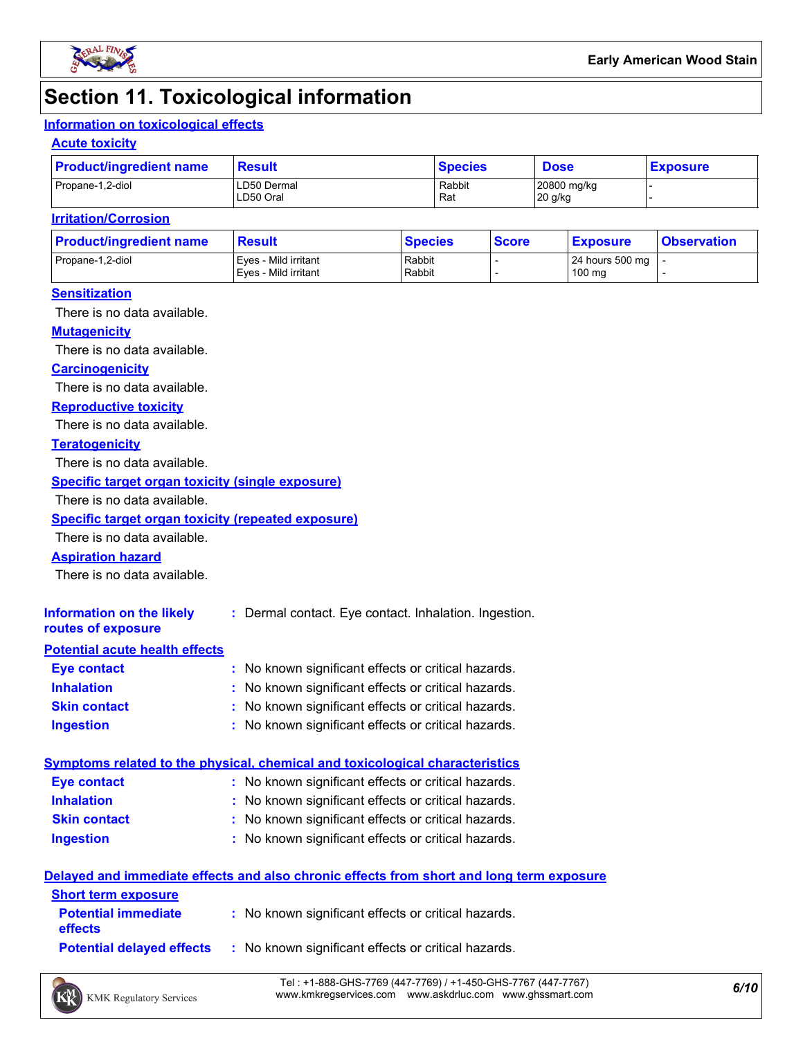

# **Section 11. Toxicological information**

### **Information on toxicological effects**

#### **Acute toxicity**

| <b>Product/ingredient name</b> | <b>Result</b>            | <b>Species</b> | <b>Dose</b>            | <b>Exposure</b> |  |
|--------------------------------|--------------------------|----------------|------------------------|-----------------|--|
| Propane-1,2-diol               | LD50 Dermal<br>LD50 Oral | Rabbit<br>Rat  | 20800 mg/kg<br>20 g/kg |                 |  |

#### **Irritation/Corrosion**

| <b>Product/ingredient name</b> | <b>Result</b>                                | <b>Species</b>   | <b>Score</b> | <u>  Exposure</u>         | <b>Observation</b> |
|--------------------------------|----------------------------------------------|------------------|--------------|---------------------------|--------------------|
| Propane-1,2-diol               | Eves - Mild irritant<br>Eves - Mild irritant | Rabbit<br>Rabbit |              | 24 hours 500 mg<br>100 mg |                    |
|                                |                                              |                  |              |                           |                    |

#### **Sensitization**

There is no data available.

#### **Mutagenicity**

There is no data available.

#### **Carcinogenicity**

There is no data available.

#### **Reproductive toxicity**

There is no data available.

#### **Teratogenicity**

There is no data available.

#### **Specific target organ toxicity (single exposure)**

There is no data available.

#### **Specific target organ toxicity (repeated exposure)**

There is no data available.

#### **Aspiration hazard**

There is no data available.

| Information on the likely<br>routes of exposure | : Dermal contact. Eye contact. Inhalation. Ingestion. |
|-------------------------------------------------|-------------------------------------------------------|
| <b>Potential acute health effects</b>           |                                                       |
| <b>Eye contact</b>                              | : No known significant effects or critical hazards.   |
| <b>Inhalation</b>                               | : No known significant effects or critical hazards.   |
| <b>Skin contact</b>                             | : No known significant effects or critical hazards.   |

#### **Ingestion :** No known significant effects or critical hazards.

|                    | Symptoms related to the physical, chemical and toxicological characteristics |  |
|--------------------|------------------------------------------------------------------------------|--|
| <b>Eve contact</b> | : No known significant effects or critical hazards.                          |  |

- **Skin contact Inhalation** No known significant effects or critical hazards. **:** No known significant effects or critical hazards. **:**
- **Ingestion** No known significant effects or critical hazards. **:**

#### **Delayed and immediate effects and also chronic effects from short and long term exposure**

| <b>Short term exposure</b>                   |                                                     |
|----------------------------------------------|-----------------------------------------------------|
| <b>Potential immediate</b><br><b>effects</b> | : No known significant effects or critical hazards. |
| <b>Potential delaved effects</b>             | : No known significant effects or critical hazards. |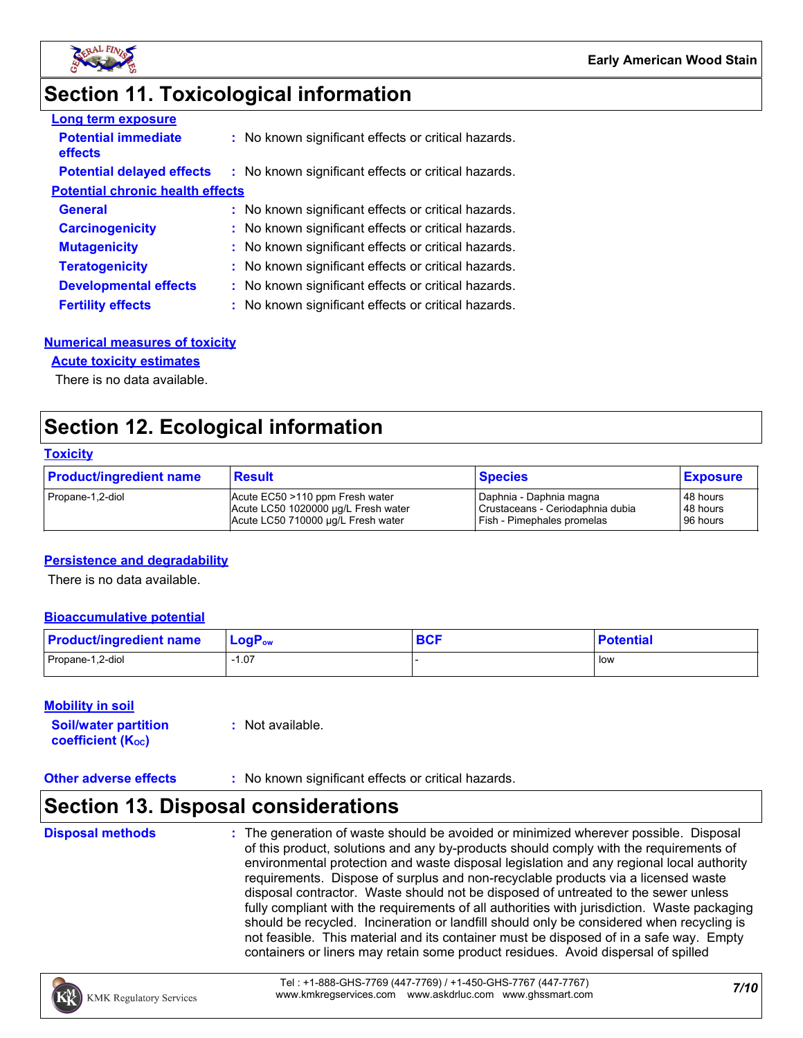

# **Section 11. Toxicological information**

| <b>Long term exposure</b>               |                                                     |
|-----------------------------------------|-----------------------------------------------------|
| <b>Potential immediate</b><br>effects   | : No known significant effects or critical hazards. |
| <b>Potential delayed effects</b>        | : No known significant effects or critical hazards. |
| <b>Potential chronic health effects</b> |                                                     |
| <b>General</b>                          | : No known significant effects or critical hazards. |
| <b>Carcinogenicity</b>                  | : No known significant effects or critical hazards. |
| <b>Mutagenicity</b>                     | : No known significant effects or critical hazards. |
| <b>Teratogenicity</b>                   | : No known significant effects or critical hazards. |
| <b>Developmental effects</b>            | : No known significant effects or critical hazards. |
| <b>Fertility effects</b>                | : No known significant effects or critical hazards. |

#### **Numerical measures of toxicity**

#### **Acute toxicity estimates**

There is no data available.

# **Section 12. Ecological information**

#### **Toxicity**

| <b>Product/ingredient name</b> | <b>Result</b>                       | <b>Species</b>                   | <b>Exposure</b> |
|--------------------------------|-------------------------------------|----------------------------------|-----------------|
| Propane-1,2-diol               | Acute EC50 >110 ppm Fresh water     | I Daphnia - Daphnia magna        | 48 hours        |
|                                | Acute LC50 1020000 ug/L Fresh water | Crustaceans - Ceriodaphnia dubia | 48 hours        |
|                                | Acute LC50 710000 ug/L Fresh water  | Fish - Pimephales promelas       | 96 hours        |

#### **Persistence and degradability**

There is no data available.

#### **Bioaccumulative potential**

| <b>Product/ingredient name</b> | $LogPow$ | <b>DAC</b><br><b>DUI</b> | <b>Potential</b> |
|--------------------------------|----------|--------------------------|------------------|
| Propane-1,2-diol               | 07، ا    |                          | l low            |

#### **Mobility in soil**

| <b>Soil/water partition</b> | : Not available. |
|-----------------------------|------------------|
| <b>coefficient (Koc)</b>    |                  |

#### **Other adverse effects** : No known significant effects or critical hazards.

### **Section 13. Disposal considerations**

**Disposal methods :**

The generation of waste should be avoided or minimized wherever possible. Disposal of this product, solutions and any by-products should comply with the requirements of environmental protection and waste disposal legislation and any regional local authority requirements. Dispose of surplus and non-recyclable products via a licensed waste disposal contractor. Waste should not be disposed of untreated to the sewer unless fully compliant with the requirements of all authorities with jurisdiction. Waste packaging should be recycled. Incineration or landfill should only be considered when recycling is not feasible. This material and its container must be disposed of in a safe way. Empty containers or liners may retain some product residues. Avoid dispersal of spilled

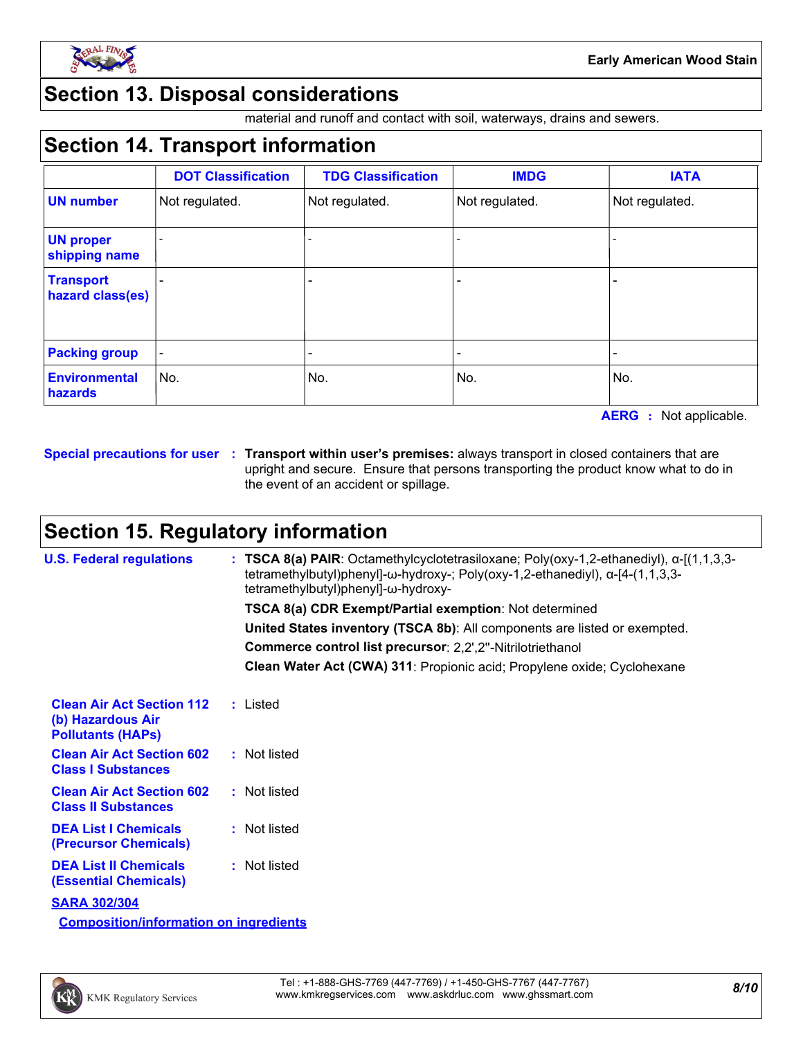

## **Section 13. Disposal considerations**

material and runoff and contact with soil, waterways, drains and sewers.

# **Section 14. Transport information**

|                                      | <b>DOT Classification</b> | <b>TDG Classification</b> | <b>IMDG</b>    | <b>IATA</b>    |
|--------------------------------------|---------------------------|---------------------------|----------------|----------------|
| <b>UN number</b>                     | Not regulated.            | Not regulated.            | Not regulated. | Not regulated. |
| <b>UN proper</b><br>shipping name    |                           |                           |                |                |
| <b>Transport</b><br>hazard class(es) |                           | -                         |                |                |
| <b>Packing group</b>                 |                           |                           |                |                |
| <b>Environmental</b><br>hazards      | No.                       | No.                       | No.            | No.            |

**AERG :** Not applicable.

**Special precautions for user Transport within user's premises:** always transport in closed containers that are **:** upright and secure. Ensure that persons transporting the product know what to do in the event of an accident or spillage.

# **Section 15. Regulatory information**

| <b>U.S. Federal regulations</b>                                                   | : TSCA 8(a) PAIR: Octamethylcyclotetrasiloxane; Poly(oxy-1,2-ethanediyl), $\alpha$ -[(1,1,3,3-<br>tetramethylbutyl)phenyl]-ω-hydroxy-; Poly(oxy-1,2-ethanediyl), α-[4-(1,1,3,3-<br>tetramethylbutyl)phenyl]-ω-hydroxy- |
|-----------------------------------------------------------------------------------|------------------------------------------------------------------------------------------------------------------------------------------------------------------------------------------------------------------------|
|                                                                                   | <b>TSCA 8(a) CDR Exempt/Partial exemption: Not determined</b>                                                                                                                                                          |
|                                                                                   | United States inventory (TSCA 8b): All components are listed or exempted.                                                                                                                                              |
|                                                                                   | Commerce control list precursor: 2,2',2"-Nitrilotriethanol                                                                                                                                                             |
|                                                                                   | Clean Water Act (CWA) 311: Propionic acid; Propylene oxide; Cyclohexane                                                                                                                                                |
| <b>Clean Air Act Section 112</b><br>(b) Hazardous Air<br><b>Pollutants (HAPS)</b> | : Listed                                                                                                                                                                                                               |
| <b>Clean Air Act Section 602</b><br><b>Class I Substances</b>                     | : Not listed                                                                                                                                                                                                           |
| <b>Clean Air Act Section 602</b><br><b>Class II Substances</b>                    | : Not listed                                                                                                                                                                                                           |
| <b>DEA List I Chemicals</b><br>(Precursor Chemicals)                              | : Not listed                                                                                                                                                                                                           |
| <b>DEA List II Chemicals</b><br><b>(Essential Chemicals)</b>                      | : Not listed                                                                                                                                                                                                           |
| <b>SARA 302/304</b>                                                               |                                                                                                                                                                                                                        |
| <b>Composition/information on ingredients</b>                                     |                                                                                                                                                                                                                        |

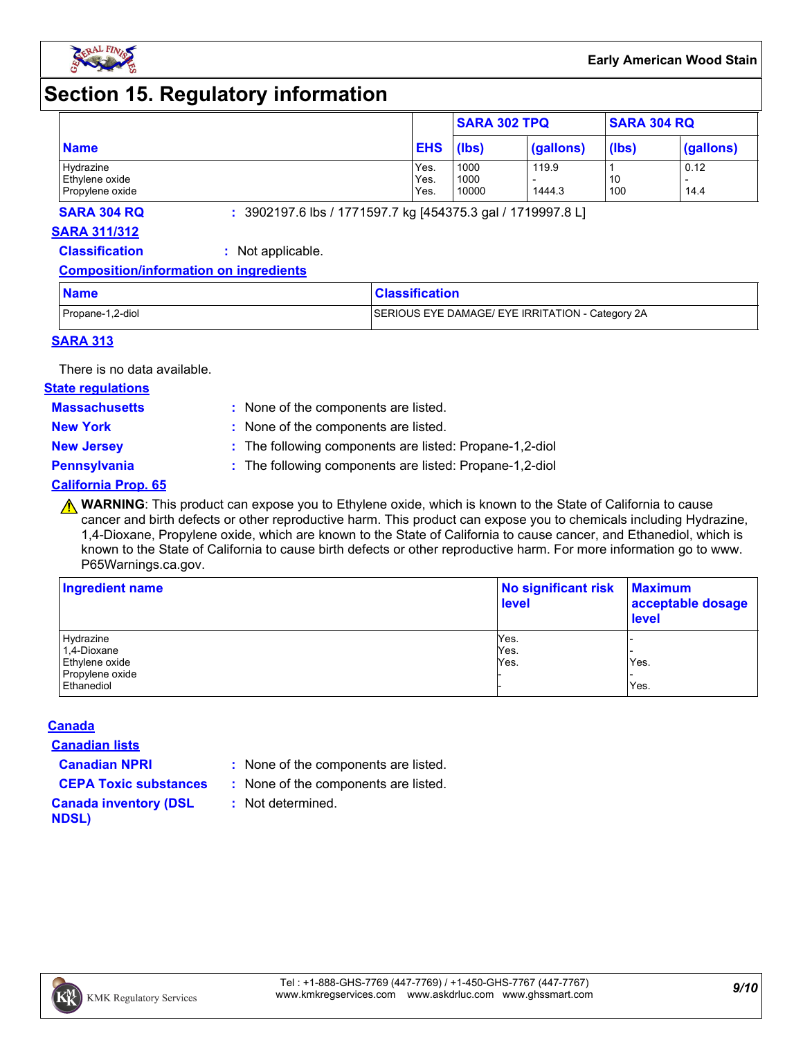

# **Section 15. Regulatory information**

|                 |            | <b>SARA 302 TPQ</b> |           | <b>SARA 304 RQ</b> |           |
|-----------------|------------|---------------------|-----------|--------------------|-----------|
| <b>Name</b>     | <b>EHS</b> | (lbs)               | (gallons) | (lbs)              | (gallons) |
| Hydrazine       | Yes.       | 1000                | 119.9     |                    | 0.12      |
| Ethylene oxide  | Yes.       | 1000                |           | 10                 |           |
| Propylene oxide | Yes.       | 10000               | 1444.3    | 100                | 14.4      |

**SARA 304 RQ :** 3902197.6 lbs / 1771597.7 kg [454375.3 gal / 1719997.8 L]

#### **SARA 311/312**

**Classification :** Not applicable.

#### **Composition/information on ingredients**

| <b>Name</b>      | <b>Classification</b>                            |
|------------------|--------------------------------------------------|
| Propane-1,2-diol | SERIOUS EYE DAMAGE/ EYE IRRITATION - Category 2A |

#### **SARA 313**

There is no data available.

#### **State regulations**

**Massachusetts :**

- : None of the components are listed. **New York :** None of the components are listed.
- 
- **New Jersey :** The following components are listed: Propane-1,2-diol

**Pennsylvania :** The following components are listed: Propane-1,2-diol

#### **California Prop. 65**

**A WARNING**: This product can expose you to Ethylene oxide, which is known to the State of California to cause cancer and birth defects or other reproductive harm. This product can expose you to chemicals including Hydrazine, 1,4-Dioxane, Propylene oxide, which are known to the State of California to cause cancer, and Ethanediol, which is known to the State of California to cause birth defects or other reproductive harm. For more information go to www. P65Warnings.ca.gov.

| <b>Ingredient name</b> | No significant risk<br><b>level</b> | <b>Maximum</b><br>acceptable dosage<br><b>level</b> |  |
|------------------------|-------------------------------------|-----------------------------------------------------|--|
| Hydrazine              | Yes.                                |                                                     |  |
| 1,4-Dioxane            | Yes.                                |                                                     |  |
| Ethylene oxide         | Yes.                                | Yes.                                                |  |
| Propylene oxide        |                                     |                                                     |  |
| Ethanediol             |                                     | Yes.                                                |  |

#### **Canada**

**Canadian lists**

- **Canadian NPRI :** None of the components are listed.
- **CEPA Toxic substances :** None of the components are listed.
	- **:** Not determined.
- **Canada inventory (DSL NDSL)**